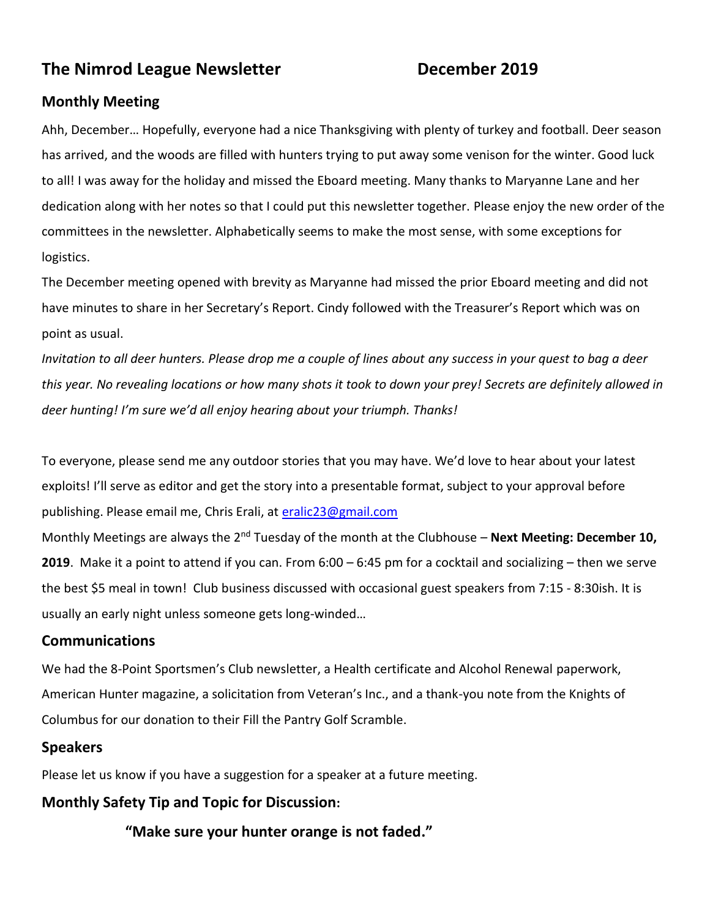# **The Nimrod League Newsletter December 2019**

# **Monthly Meeting**

Ahh, December… Hopefully, everyone had a nice Thanksgiving with plenty of turkey and football. Deer season has arrived, and the woods are filled with hunters trying to put away some venison for the winter. Good luck to all! I was away for the holiday and missed the Eboard meeting. Many thanks to Maryanne Lane and her dedication along with her notes so that I could put this newsletter together. Please enjoy the new order of the committees in the newsletter. Alphabetically seems to make the most sense, with some exceptions for logistics.

The December meeting opened with brevity as Maryanne had missed the prior Eboard meeting and did not have minutes to share in her Secretary's Report. Cindy followed with the Treasurer's Report which was on point as usual.

*Invitation to all deer hunters. Please drop me a couple of lines about any success in your quest to bag a deer this year. No revealing locations or how many shots it took to down your prey! Secrets are definitely allowed in deer hunting! I'm sure we'd all enjoy hearing about your triumph. Thanks!*

To everyone, please send me any outdoor stories that you may have. We'd love to hear about your latest exploits! I'll serve as editor and get the story into a presentable format, subject to your approval before publishing. Please email me, Chris Erali, at [eralic23@gmail.com](mailto:eralic23@gmail.com)

Monthly Meetings are always the 2<sup>nd</sup> Tuesday of the month at the Clubhouse – **Next Meeting: December 10, 2019**. Make it a point to attend if you can. From 6:00 – 6:45 pm for a cocktail and socializing – then we serve the best \$5 meal in town! Club business discussed with occasional guest speakers from 7:15 - 8:30ish. It is usually an early night unless someone gets long-winded…

# **Communications**

We had the 8-Point Sportsmen's Club newsletter, a Health certificate and Alcohol Renewal paperwork, American Hunter magazine, a solicitation from Veteran's Inc., and a thank-you note from the Knights of Columbus for our donation to their Fill the Pantry Golf Scramble.

#### **Speakers**

Please let us know if you have a suggestion for a speaker at a future meeting.

# **Monthly Safety Tip and Topic for Discussion:**

**"Make sure your hunter orange is not faded."**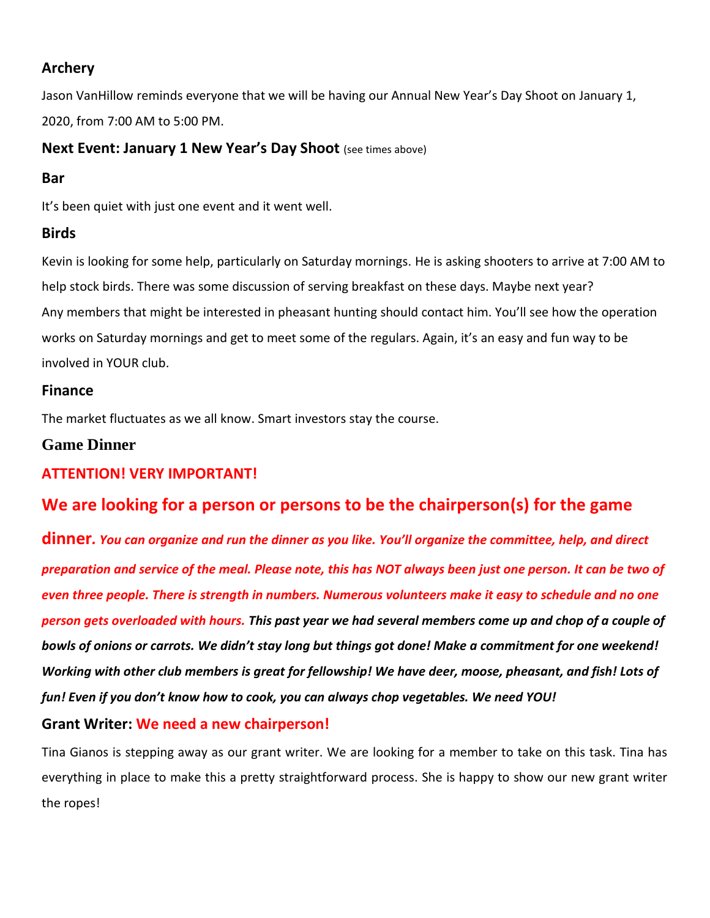# **Archery**

Jason VanHillow reminds everyone that we will be having our Annual New Year's Day Shoot on January 1, 2020, from 7:00 AM to 5:00 PM.

# **Next Event: January 1 New Year's Day Shoot** (see times above)

# **Bar**

It's been quiet with just one event and it went well.

# **Birds**

Kevin is looking for some help, particularly on Saturday mornings. He is asking shooters to arrive at 7:00 AM to help stock birds. There was some discussion of serving breakfast on these days. Maybe next year? Any members that might be interested in pheasant hunting should contact him. You'll see how the operation works on Saturday mornings and get to meet some of the regulars. Again, it's an easy and fun way to be involved in YOUR club.

# **Finance**

The market fluctuates as we all know. Smart investors stay the course.

# **Game Dinner**

# **ATTENTION! VERY IMPORTANT!**

# **We are looking for a person or persons to be the chairperson(s) for the game**

**dinner***. You can organize and run the dinner as you like. You'll organize the committee, help, and direct preparation and service of the meal. Please note, this has NOT always been just one person. It can be two of even three people. There is strength in numbers. Numerous volunteers make it easy to schedule and no one person gets overloaded with hours. This past year we had several members come up and chop of a couple of bowls of onions or carrots. We didn't stay long but things got done! Make a commitment for one weekend! Working with other club members is great for fellowship! We have deer, moose, pheasant, and fish! Lots of fun! Even if you don't know how to cook, you can always chop vegetables. We need YOU!*

# **Grant Writer: We need a new chairperson!**

Tina Gianos is stepping away as our grant writer. We are looking for a member to take on this task. Tina has everything in place to make this a pretty straightforward process. She is happy to show our new grant writer the ropes!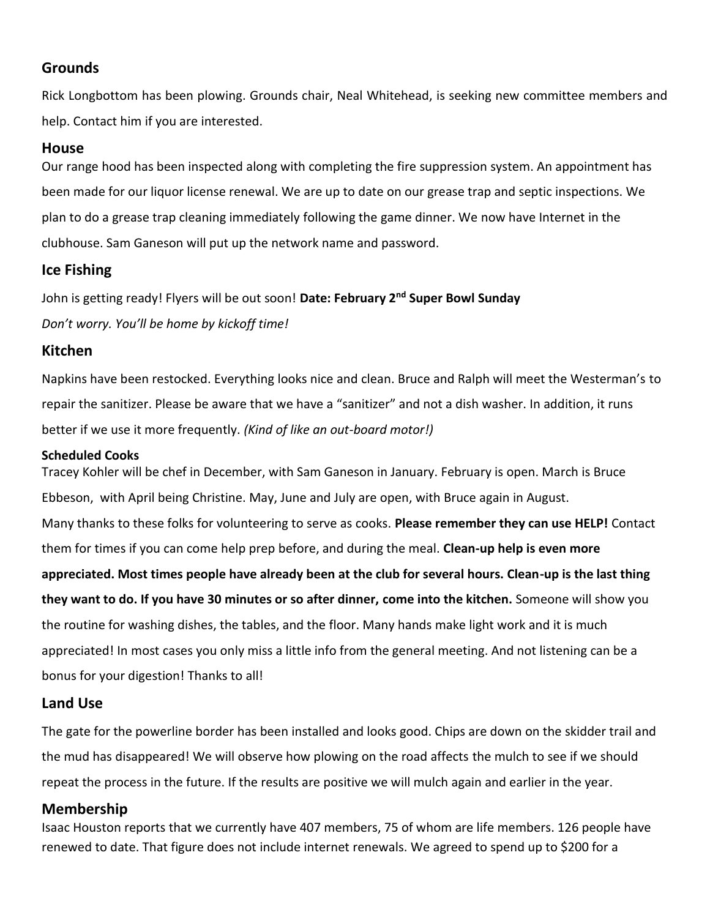## **Grounds**

Rick Longbottom has been plowing. Grounds chair, Neal Whitehead, is seeking new committee members and help. Contact him if you are interested.

#### **House**

Our range hood has been inspected along with completing the fire suppression system. An appointment has been made for our liquor license renewal. We are up to date on our grease trap and septic inspections. We plan to do a grease trap cleaning immediately following the game dinner. We now have Internet in the clubhouse. Sam Ganeson will put up the network name and password.

### **Ice Fishing**

John is getting ready! Flyers will be out soon! **Date: February 2nd Super Bowl Sunday**  *Don't worry. You'll be home by kickoff time!*

### **Kitchen**

Napkins have been restocked. Everything looks nice and clean. Bruce and Ralph will meet the Westerman's to repair the sanitizer. Please be aware that we have a "sanitizer" and not a dish washer. In addition, it runs better if we use it more frequently. *(Kind of like an out-board motor!)*

#### **Scheduled Cooks**

Tracey Kohler will be chef in December, with Sam Ganeson in January. February is open. March is Bruce Ebbeson, with April being Christine. May, June and July are open, with Bruce again in August. Many thanks to these folks for volunteering to serve as cooks. **Please remember they can use HELP!** Contact them for times if you can come help prep before, and during the meal. **Clean-up help is even more appreciated. Most times people have already been at the club for several hours. Clean-up is the last thing they want to do. If you have 30 minutes or so after dinner, come into the kitchen.** Someone will show you the routine for washing dishes, the tables, and the floor. Many hands make light work and it is much appreciated! In most cases you only miss a little info from the general meeting. And not listening can be a bonus for your digestion! Thanks to all!

#### **Land Use**

The gate for the powerline border has been installed and looks good. Chips are down on the skidder trail and the mud has disappeared! We will observe how plowing on the road affects the mulch to see if we should repeat the process in the future. If the results are positive we will mulch again and earlier in the year.

#### **Membership**

Isaac Houston reports that we currently have 407 members, 75 of whom are life members. 126 people have renewed to date. That figure does not include internet renewals. We agreed to spend up to \$200 for a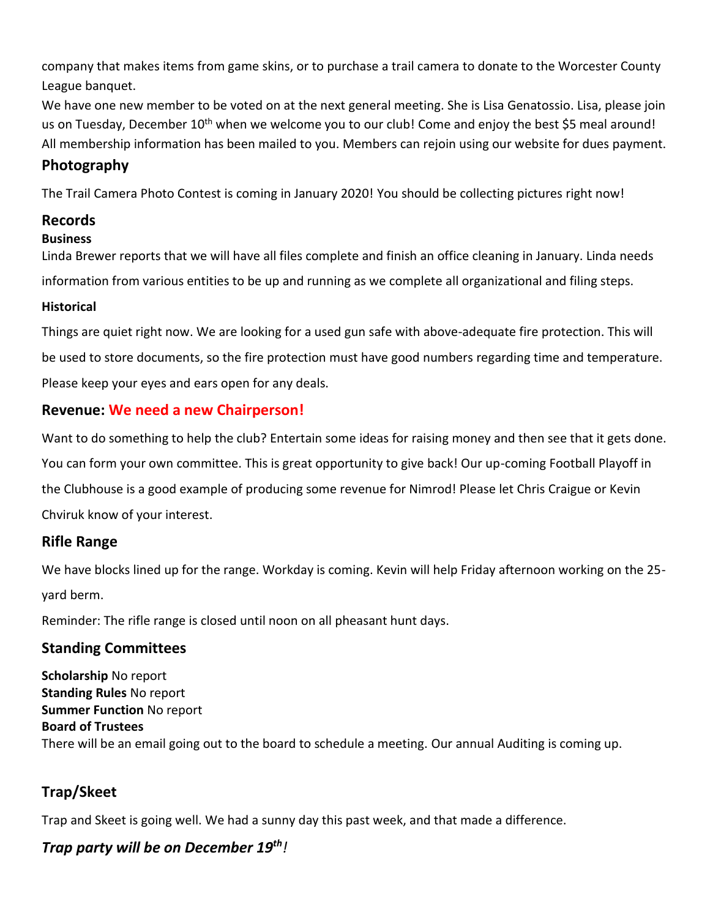company that makes items from game skins, or to purchase a trail camera to donate to the Worcester County League banquet.

We have one new member to be voted on at the next general meeting. She is Lisa Genatossio. Lisa, please join us on Tuesday, December 10<sup>th</sup> when we welcome you to our club! Come and enjoy the best \$5 meal around! All membership information has been mailed to you. Members can rejoin using our website for dues payment.

# **Photography**

The Trail Camera Photo Contest is coming in January 2020! You should be collecting pictures right now!

# **Records**

# **Business**

Linda Brewer reports that we will have all files complete and finish an office cleaning in January. Linda needs information from various entities to be up and running as we complete all organizational and filing steps.

### **Historical**

Things are quiet right now. We are looking for a used gun safe with above-adequate fire protection. This will be used to store documents, so the fire protection must have good numbers regarding time and temperature. Please keep your eyes and ears open for any deals.

# **Revenue: We need a new Chairperson!**

Want to do something to help the club? Entertain some ideas for raising money and then see that it gets done. You can form your own committee. This is great opportunity to give back! Our up-coming Football Playoff in the Clubhouse is a good example of producing some revenue for Nimrod! Please let Chris Craigue or Kevin Chviruk know of your interest.

# **Rifle Range**

We have blocks lined up for the range. Workday is coming. Kevin will help Friday afternoon working on the 25 yard berm.

Reminder: The rifle range is closed until noon on all pheasant hunt days.

# **Standing Committees**

**Scholarship** No report **Standing Rules** No report **Summer Function** No report **Board of Trustees** There will be an email going out to the board to schedule a meeting. Our annual Auditing is coming up.

# **Trap/Skeet**

Trap and Skeet is going well. We had a sunny day this past week, and that made a difference.

# *Trap party will be on December 19th!*